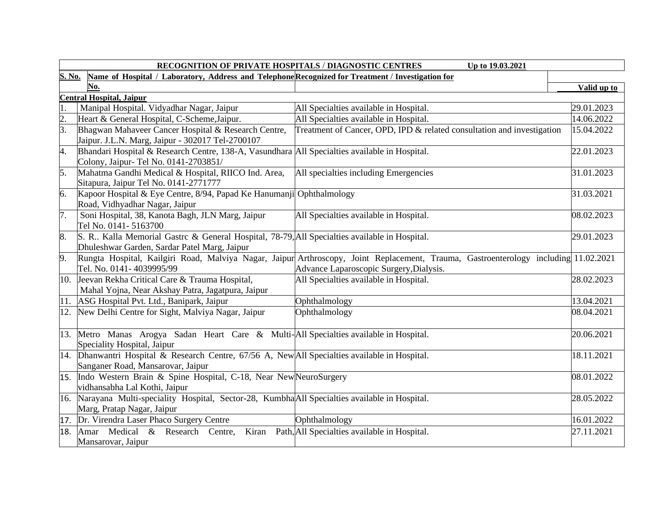|                  | RECOGNITION OF PRIVATE HOSPITALS / DIAGNOSTIC CENTRES<br>Up to 19.03.2021                                                                     |                                                                                                                                                                                |             |  |
|------------------|-----------------------------------------------------------------------------------------------------------------------------------------------|--------------------------------------------------------------------------------------------------------------------------------------------------------------------------------|-------------|--|
|                  | S. No.<br>Name of Hospital / Laboratory, Address and Telephone Recognized for Treatment / Investigation for                                   |                                                                                                                                                                                |             |  |
|                  | No.                                                                                                                                           |                                                                                                                                                                                | Valid up to |  |
|                  | <b>Central Hospital, Jaipur</b>                                                                                                               |                                                                                                                                                                                |             |  |
| 1.               | Manipal Hospital. Vidyadhar Nagar, Jaipur                                                                                                     | All Specialties available in Hospital.                                                                                                                                         | 29.01.2023  |  |
| $\overline{2}$ . | Heart & General Hospital, C-Scheme, Jaipur.                                                                                                   | All Specialties available in Hospital.                                                                                                                                         | 14.06.2022  |  |
| $\overline{3}$ . | Bhagwan Mahaveer Cancer Hospital & Research Centre,                                                                                           | Treatment of Cancer, OPD, IPD & related consultation and investigation                                                                                                         | 15.04.2022  |  |
|                  | Jaipur. J.L.N. Marg, Jaipur - 302017 Tel-2700107                                                                                              |                                                                                                                                                                                |             |  |
| 4.               | Bhandari Hospital & Research Centre, 138-A, Vasundhara All Specialties available in Hospital.<br>Colony, Jaipur- Tel No. 0141-2703851/        |                                                                                                                                                                                | 22.01.2023  |  |
| 5.               | Mahatma Gandhi Medical & Hospital, RIICO Ind. Area,<br>Sitapura, Jaipur Tel No. 0141-2771777                                                  | All specialties including Emergencies                                                                                                                                          | 31.01.2023  |  |
| 6.               | Kapoor Hospital & Eye Centre, 8/94, Papad Ke Hanumanji Ophthalmology<br>Road, Vidhyadhar Nagar, Jaipur                                        |                                                                                                                                                                                | 31.03.2021  |  |
| 7.               | Soni Hospital, 38, Kanota Bagh, JLN Marg, Jaipur<br>Tel No. 0141-5163700                                                                      | All Specialties available in Hospital.                                                                                                                                         | 08.02.2023  |  |
| 8.               | S. R. Kalla Memorial Gastre & General Hospital, 78-79, All Specialties available in Hospital.<br>Dhuleshwar Garden, Sardar Patel Marg, Jaipur |                                                                                                                                                                                | 29.01.2023  |  |
| 9.               | Tel. No. 0141-4039995/99                                                                                                                      | Rungta Hospital, Kailgiri Road, Malviya Nagar, Jaipur Arthroscopy, Joint Replacement, Trauma, Gastroenterology including 11.02.2021<br>Advance Laparoscopic Surgery, Dialysis. |             |  |
|                  | 10. Jeevan Rekha Critical Care & Trauma Hospital,<br>Mahal Yojna, Near Akshay Patra, Jagatpura, Jaipur                                        | All Specialties available in Hospital.                                                                                                                                         | 28.02.2023  |  |
|                  | 11. ASG Hospital Pvt. Ltd., Banipark, Jaipur                                                                                                  | Ophthalmology                                                                                                                                                                  | 13.04.2021  |  |
| 12.              | New Delhi Centre for Sight, Malviya Nagar, Jaipur                                                                                             | Ophthalmology                                                                                                                                                                  | 08.04.2021  |  |
|                  | 13. Metro Manas Arogya Sadan Heart Care & Multi-All Specialties available in Hospital.<br>Speciality Hospital, Jaipur                         |                                                                                                                                                                                | 20.06.2021  |  |
|                  | 14. Dhanwantri Hospital & Research Centre, 67/56 A, New All Specialties available in Hospital.<br>Sanganer Road, Mansarovar, Jaipur           |                                                                                                                                                                                | 18.11.2021  |  |
|                  | 15. Indo Western Brain & Spine Hospital, C-18, Near New NeuroSurgery<br>vidhansabha Lal Kothi, Jaipur                                         |                                                                                                                                                                                | 08.01.2022  |  |
|                  | 16. Narayana Multi-speciality Hospital, Sector-28, KumbhaAll Specialties available in Hospital.<br>Marg, Pratap Nagar, Jaipur                 |                                                                                                                                                                                | 28.05.2022  |  |
|                  | 17. Dr. Virendra Laser Phaco Surgery Centre                                                                                                   | Ophthalmology                                                                                                                                                                  | 16.01.2022  |  |
| 18.              | Amar Medical & Research Centre, Kiran Path, All Specialties available in Hospital.<br>Mansarovar, Jaipur                                      |                                                                                                                                                                                | 27.11.2021  |  |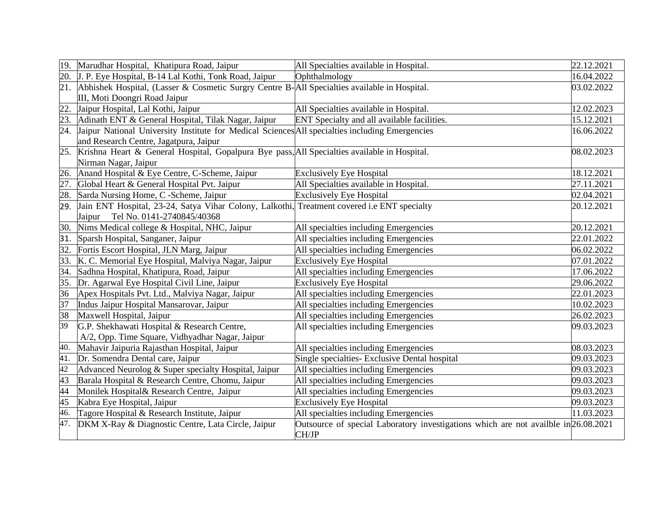| 19. | Marudhar Hospital, Khatipura Road, Jaipur                                                           | All Specialties available in Hospital.                                              | 22.12.2021              |
|-----|-----------------------------------------------------------------------------------------------------|-------------------------------------------------------------------------------------|-------------------------|
| 20. | J. P. Eye Hospital, B-14 Lal Kothi, Tonk Road, Jaipur                                               | Ophthalmology                                                                       | 16.04.2022              |
| 21. | Abhishek Hospital, (Lasser & Cosmetic Surgry Centre B-All Specialties available in Hospital.        |                                                                                     | 03.02.2022              |
|     | III, Moti Doongri Road Jaipur                                                                       |                                                                                     |                         |
| 22. | Jaipur Hospital, Lal Kothi, Jaipur                                                                  | All Specialties available in Hospital.                                              | 12.02.2023              |
| 23. | Adinath ENT & General Hospital, Tilak Nagar, Jaipur                                                 | ENT Specialty and all available facilities.                                         | 15.12.2021              |
|     | 24. Jaipur National University Institute for Medical Sciences All specialties including Emergencies |                                                                                     | 16.06.2022              |
|     | and Research Centre, Jagatpura, Jaipur                                                              |                                                                                     |                         |
|     | 25. Krishna Heart & General Hospital, Gopalpura Bye pass, All Specialties available in Hospital.    |                                                                                     | 08.02.2023              |
|     | Nirman Nagar, Jaipur                                                                                |                                                                                     |                         |
| 26. | Anand Hospital & Eye Centre, C-Scheme, Jaipur                                                       | <b>Exclusively Eye Hospital</b>                                                     | 18.12.2021              |
| 27. | Global Heart & General Hospital Pvt. Jaipur                                                         | All Specialties available in Hospital.                                              | 27.11.2021              |
| 28. | Sarda Nursing Home, C -Scheme, Jaipur                                                               | <b>Exclusively Eye Hospital</b>                                                     | 02.04.2021              |
| 29. | Jain ENT Hospital, 23-24, Satya Vihar Colony, Lalkothi, Treatment covered i.e ENT specialty         |                                                                                     | 20.12.2021              |
|     | Jaipur Tel No. 0141-2740845/40368                                                                   |                                                                                     |                         |
| 30. | Nims Medical college & Hospital, NHC, Jaipur                                                        | All specialties including Emergencies                                               | 20.12.2021              |
| 31. | Sparsh Hospital, Sanganer, Jaipur                                                                   | All specialties including Emergencies                                               | 22.01.2022              |
| 32. | Fortis Escort Hospital, JLN Marg, Jaipur                                                            | All specialties including Emergencies                                               | 06.02.2022              |
| 33. | K. C. Memorial Eye Hospital, Malviya Nagar, Jaipur                                                  | <b>Exclusively Eye Hospital</b>                                                     | 07.01.2022              |
| 34. | Sadhna Hospital, Khatipura, Road, Jaipur                                                            | All specialties including Emergencies                                               | 17.06.2022              |
| 35. | Dr. Agarwal Eye Hospital Civil Line, Jaipur                                                         | <b>Exclusively Eye Hospital</b>                                                     | 29.06.2022              |
| 36  | Apex Hospitals Pvt. Ltd., Malviya Nagar, Jaipur                                                     | All specialties including Emergencies                                               | 22.01.2023              |
| 37  | Indus Jaipur Hospital Mansarovar, Jaipur                                                            | All specialties including Emergencies                                               | 10.02.2023              |
| 38  | Maxwell Hospital, Jaipur                                                                            | All specialties including Emergencies                                               | 26.02.2023              |
| 39  | G.P. Shekhawati Hospital & Research Centre,                                                         | All specialties including Emergencies                                               | 09.03.2023              |
|     | A/2, Opp. Time Square, Vidhyadhar Nagar, Jaipur                                                     |                                                                                     |                         |
| 40. | Mahavir Jaipuria Rajasthan Hospital, Jaipur                                                         | All specialties including Emergencies                                               | 08.03.2023              |
| 41. | Dr. Somendra Dental care, Jaipur                                                                    | Single specialties- Exclusive Dental hospital                                       | 09.03.2023              |
| 42  | Advanced Neurolog & Super specialty Hospital, Jaipur                                                | All specialties including Emergencies                                               | 09.03.2023              |
| 43  | Barala Hospital & Research Centre, Chomu, Jaipur                                                    | All specialties including Emergencies                                               | 09.03.2023              |
| 44  | Monilek Hospital& Research Centre, Jaipur                                                           | All specialties including Emergencies                                               | 09.03.2023              |
| 45  | Kabra Eye Hospital, Jaipur                                                                          | <b>Exclusively Eye Hospital</b>                                                     | 09.03.2023              |
| 46. | Tagore Hospital & Research Institute, Jaipur                                                        | All specialties including Emergencies                                               | $\overline{11.03.2023}$ |
| 47. | DKM X-Ray & Diagnostic Centre, Lata Circle, Jaipur                                                  | Outsource of special Laboratory investigations which are not availble in 26.08.2021 |                         |
|     |                                                                                                     | CH/JP                                                                               |                         |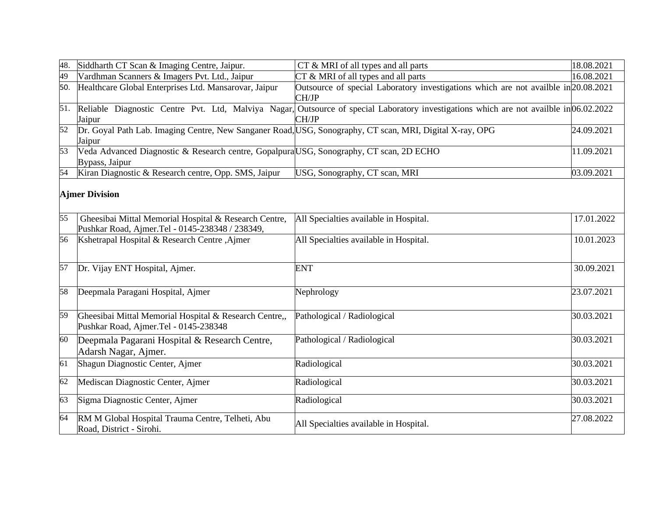| 48. | Siddharth CT Scan & Imaging Centre, Jaipur.                                                                        | CT & MRI of all types and all parts                                                                                                              | 18.08.2021 |
|-----|--------------------------------------------------------------------------------------------------------------------|--------------------------------------------------------------------------------------------------------------------------------------------------|------------|
| 49  | Vardhman Scanners & Imagers Pvt. Ltd., Jaipur                                                                      | $CT \& MRI$ of all types and all parts                                                                                                           | 16.08.2021 |
| 50. | Healthcare Global Enterprises Ltd. Mansarovar, Jaipur                                                              | Outsource of special Laboratory investigations which are not availble in 20.08.2021<br>CH/JP                                                     |            |
| 51. | Jaipur                                                                                                             | Reliable Diagnostic Centre Pvt. Ltd, Malviya Nagar, Outsource of special Laboratory investigations which are not availble in 06.02.2022<br>CH/JP |            |
| 52  | Dr. Goyal Path Lab. Imaging Centre, New Sanganer Road, USG, Sonography, CT scan, MRI, Digital X-ray, OPG<br>Jaipur |                                                                                                                                                  | 24.09.2021 |
| 53  | Veda Advanced Diagnostic & Research centre, Gopalpura USG, Sonography, CT scan, 2D ECHO<br>Bypass, Jaipur          |                                                                                                                                                  | 11.09.2021 |
| 54  | Kiran Diagnostic & Research centre, Opp. SMS, Jaipur                                                               | USG, Sonography, CT scan, MRI                                                                                                                    | 03.09.2021 |
|     | <b>Ajmer Division</b>                                                                                              |                                                                                                                                                  |            |
| 55  | Gheesibai Mittal Memorial Hospital & Research Centre,<br>Pushkar Road, Ajmer.Tel - 0145-238348 / 238349,           | All Specialties available in Hospital.                                                                                                           | 17.01.2022 |
| 56  | Kshetrapal Hospital & Research Centre, Ajmer                                                                       | All Specialties available in Hospital.                                                                                                           | 10.01.2023 |
| 57  | Dr. Vijay ENT Hospital, Ajmer.                                                                                     | <b>ENT</b>                                                                                                                                       | 30.09.2021 |
| 58  | Deepmala Paragani Hospital, Ajmer                                                                                  | Nephrology                                                                                                                                       | 23.07.2021 |
| 59  | Gheesibai Mittal Memorial Hospital & Research Centre,,<br>Pushkar Road, Ajmer.Tel - 0145-238348                    | Pathological / Radiological                                                                                                                      | 30.03.2021 |
| 60  | Deepmala Pagarani Hospital & Research Centre,<br>Adarsh Nagar, Ajmer.                                              | Pathological / Radiological                                                                                                                      | 30.03.2021 |
| 61  | Shagun Diagnostic Center, Ajmer                                                                                    | Radiological                                                                                                                                     | 30.03.2021 |
| 62  | Mediscan Diagnostic Center, Ajmer                                                                                  | Radiological                                                                                                                                     | 30.03.2021 |
| 63  | Sigma Diagnostic Center, Ajmer                                                                                     | Radiological                                                                                                                                     | 30.03.2021 |
| 64  | RM M Global Hospital Trauma Centre, Telheti, Abu<br>Road, District - Sirohi.                                       | All Specialties available in Hospital.                                                                                                           | 27.08.2022 |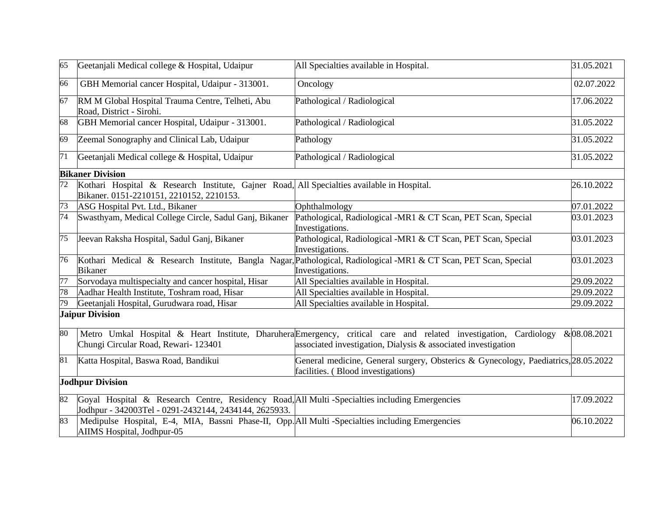| 65              | Geetanjali Medical college & Hospital, Udaipur                                                                                                         | All Specialties available in Hospital.                                                                                                                                            | 31.05.2021  |
|-----------------|--------------------------------------------------------------------------------------------------------------------------------------------------------|-----------------------------------------------------------------------------------------------------------------------------------------------------------------------------------|-------------|
| 66              | GBH Memorial cancer Hospital, Udaipur - 313001.                                                                                                        | Oncology                                                                                                                                                                          | 02.07.2022  |
| 67              | RM M Global Hospital Trauma Centre, Telheti, Abu<br>Road, District - Sirohi.                                                                           | Pathological / Radiological                                                                                                                                                       | 17.06.2022  |
| 68              | GBH Memorial cancer Hospital, Udaipur - 313001.                                                                                                        | Pathological / Radiological                                                                                                                                                       | 31.05.2022  |
| 69              | Zeemal Sonography and Clinical Lab, Udaipur                                                                                                            | Pathology                                                                                                                                                                         | 31.05.2022  |
| 71              | Geetanjali Medical college & Hospital, Udaipur                                                                                                         | Pathological / Radiological                                                                                                                                                       | 31.05.2022  |
|                 | <b>Bikaner Division</b>                                                                                                                                |                                                                                                                                                                                   |             |
| $\overline{72}$ | Kothari Hospital & Research Institute, Gajner Road, All Specialties available in Hospital.<br>Bikaner. 0151-2210151, 2210152, 2210153.                 |                                                                                                                                                                                   | 26.10.2022  |
| 73              | ASG Hospital Pvt. Ltd., Bikaner                                                                                                                        | Ophthalmology                                                                                                                                                                     | 07.01.2022  |
| 74              | Swasthyam, Medical College Circle, Sadul Ganj, Bikaner                                                                                                 | Pathological, Radiological -MR1 & CT Scan, PET Scan, Special<br>Investigations.                                                                                                   | 03.01.2023  |
| 75              | Jeevan Raksha Hospital, Sadul Ganj, Bikaner                                                                                                            | Pathological, Radiological -MR1 & CT Scan, PET Scan, Special<br>Investigations.                                                                                                   | 03.01.2023  |
| 76              |                                                                                                                                                        | Kothari Medical & Research Institute, Bangla Nagar, Pathological, Radiological -MR1 & CT Scan, PET Scan, Special                                                                  | 03.01.2023  |
|                 | <b>Bikaner</b>                                                                                                                                         | Investigations.                                                                                                                                                                   |             |
| 77              | Sorvodaya multispecialty and cancer hospital, Hisar                                                                                                    | All Specialties available in Hospital.                                                                                                                                            | 29.09.2022  |
| 78              | Aadhar Health Institute, Toshram road, Hisar                                                                                                           | All Specialties available in Hospital.                                                                                                                                            | 29.09.2022  |
| 79              | Geetanjali Hospital, Gurudwara road, Hisar                                                                                                             | All Specialties available in Hospital.                                                                                                                                            | 29.09.2022  |
|                 | <b>Jaipur Division</b>                                                                                                                                 |                                                                                                                                                                                   |             |
| 80              | Chungi Circular Road, Rewari- 123401                                                                                                                   | Metro Umkal Hospital & Heart Institute, Dharuhera Emergency, critical care and related investigation, Cardiology<br>associated investigation, Dialysis & associated investigation | &08.08.2021 |
| 81              | Katta Hospital, Baswa Road, Bandikui                                                                                                                   | General medicine, General surgery, Obsterics & Gynecology, Paediatrics, 28.05.2022<br>facilities. (Blood investigations)                                                          |             |
|                 | <b>Jodhpur Division</b>                                                                                                                                |                                                                                                                                                                                   |             |
| 82              | Goyal Hospital & Research Centre, Residency Road, All Multi-Specialties including Emergencies<br>Jodhpur - 342003Tel - 0291-2432144, 2434144, 2625933. |                                                                                                                                                                                   | 17.09.2022  |
| 83              | Medipulse Hospital, E-4, MIA, Bassni Phase-II, Opp. All Multi-Specialties including Emergencies<br>AIIMS Hospital, Jodhpur-05                          |                                                                                                                                                                                   | 06.10.2022  |